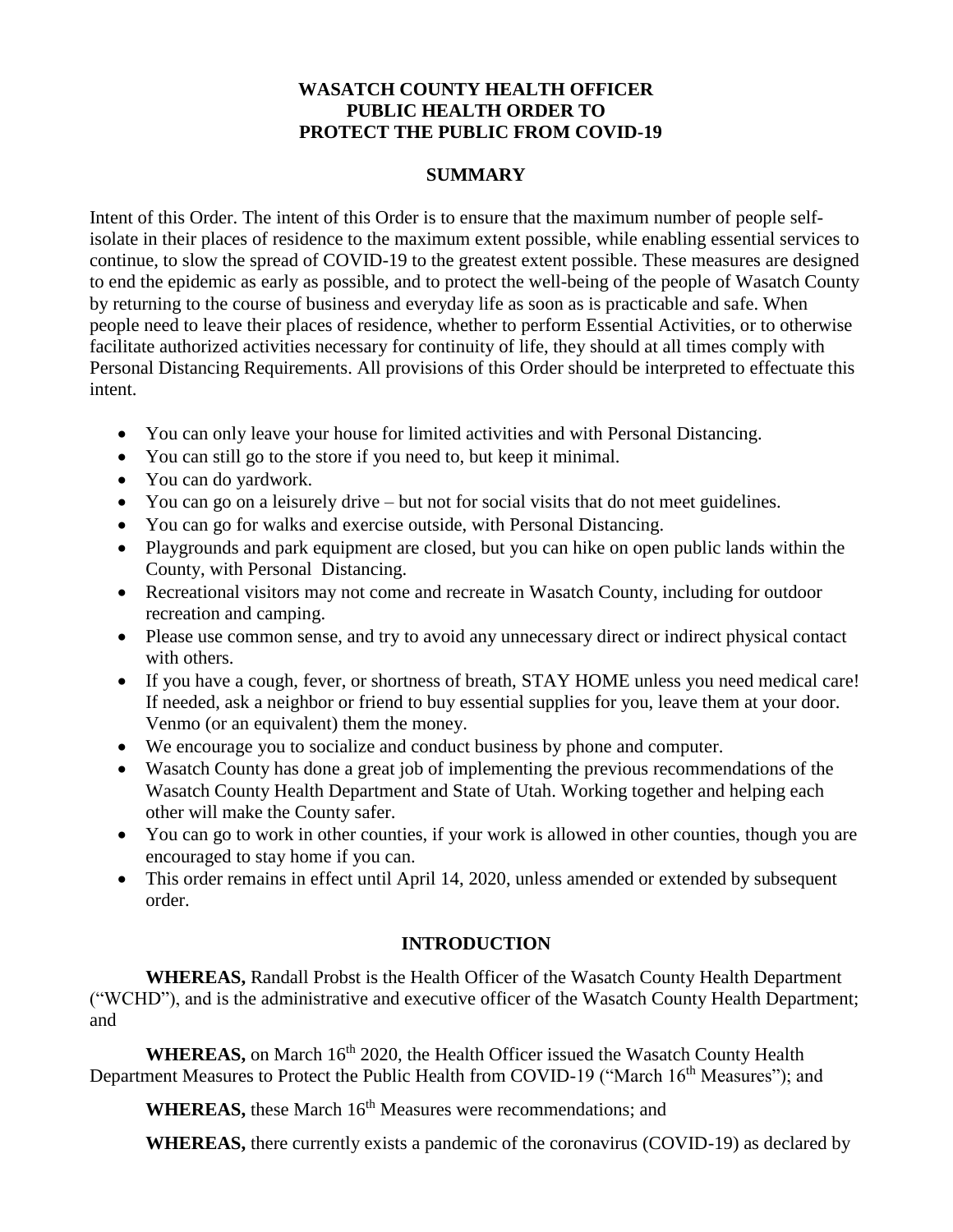# **WASATCH COUNTY HEALTH OFFICER PUBLIC HEALTH ORDER TO PROTECT THE PUBLIC FROM COVID-19**

### **SUMMARY**

Intent of this Order. The intent of this Order is to ensure that the maximum number of people selfisolate in their places of residence to the maximum extent possible, while enabling essential services to continue, to slow the spread of COVID-19 to the greatest extent possible. These measures are designed to end the epidemic as early as possible, and to protect the well-being of the people of Wasatch County by returning to the course of business and everyday life as soon as is practicable and safe. When people need to leave their places of residence, whether to perform Essential Activities, or to otherwise facilitate authorized activities necessary for continuity of life, they should at all times comply with Personal Distancing Requirements. All provisions of this Order should be interpreted to effectuate this intent.

- You can only leave your house for limited activities and with Personal Distancing.
- You can still go to the store if you need to, but keep it minimal.
- You can do yardwork.
- You can go on a leisurely drive but not for social visits that do not meet guidelines.
- You can go for walks and exercise outside, with Personal Distancing.
- Playgrounds and park equipment are closed, but you can hike on open public lands within the County, with Personal Distancing.
- Recreational visitors may not come and recreate in Wasatch County, including for outdoor recreation and camping.
- Please use common sense, and try to avoid any unnecessary direct or indirect physical contact with others.
- If you have a cough, fever, or shortness of breath, STAY HOME unless you need medical care! If needed, ask a neighbor or friend to buy essential supplies for you, leave them at your door. Venmo (or an equivalent) them the money.
- We encourage you to socialize and conduct business by phone and computer.
- Wasatch County has done a great job of implementing the previous recommendations of the Wasatch County Health Department and State of Utah. Working together and helping each other will make the County safer.
- You can go to work in other counties, if your work is allowed in other counties, though you are encouraged to stay home if you can.
- This order remains in effect until April 14, 2020, unless amended or extended by subsequent order.

# **INTRODUCTION**

**WHEREAS,** Randall Probst is the Health Officer of the Wasatch County Health Department ("WCHD"), and is the administrative and executive officer of the Wasatch County Health Department; and

WHEREAS, on March 16<sup>th</sup> 2020, the Health Officer issued the Wasatch County Health Department Measures to Protect the Public Health from COVID-19 ("March 16<sup>th</sup> Measures"); and

**WHEREAS,** these March 16<sup>th</sup> Measures were recommendations; and

**WHEREAS,** there currently exists a pandemic of the coronavirus (COVID-19) as declared by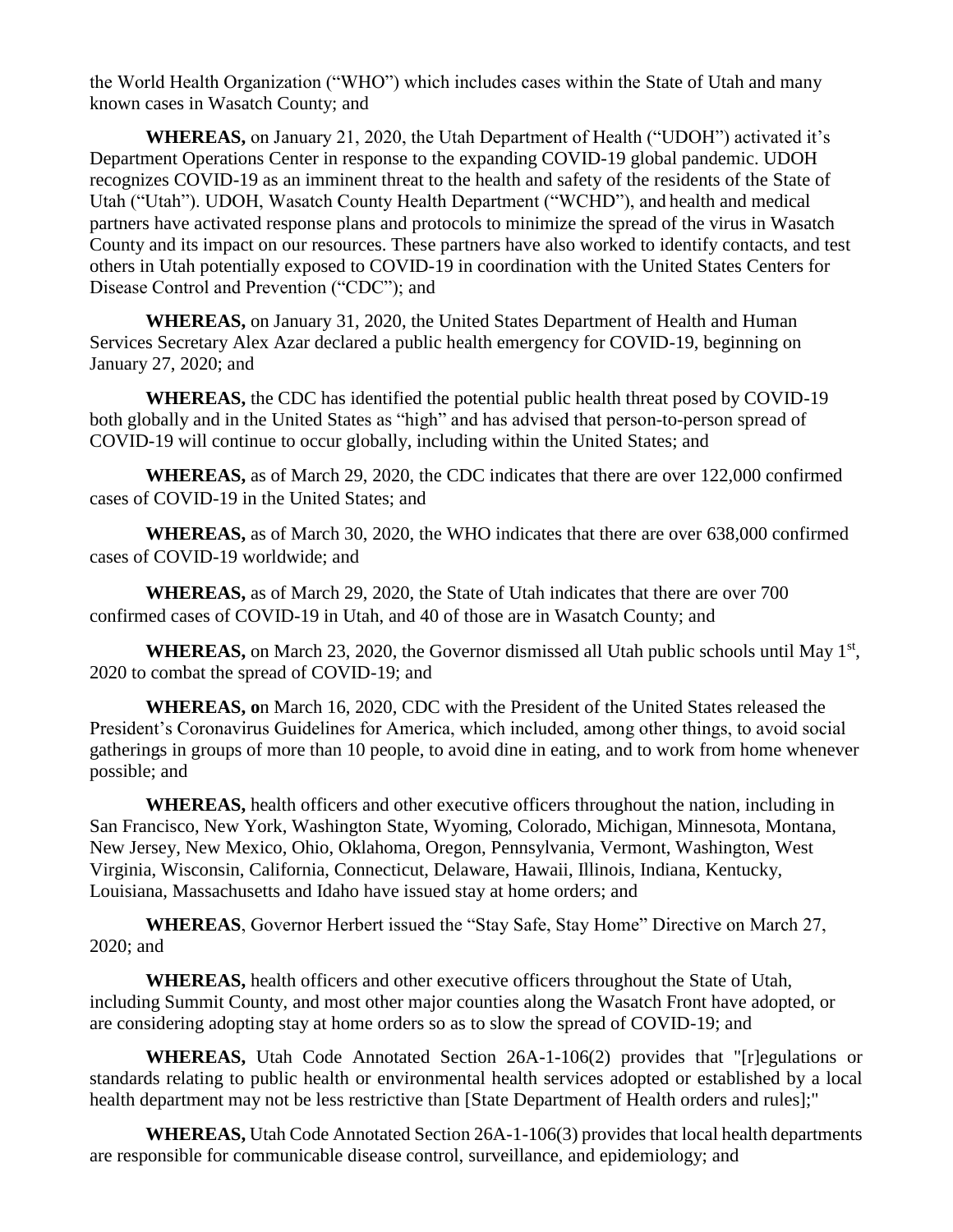the World Health Organization ("WHO") which includes cases within the State of Utah and many known cases in Wasatch County; and

**WHEREAS,** on January 21, 2020, the Utah Department of Health ("UDOH") activated it's Department Operations Center in response to the expanding COVID-19 global pandemic. UDOH recognizes COVID-19 as an imminent threat to the health and safety of the residents of the State of Utah ("Utah"). UDOH, Wasatch County Health Department ("WCHD"), and health and medical partners have activated response plans and protocols to minimize the spread of the virus in Wasatch County and its impact on our resources. These partners have also worked to identify contacts, and test others in Utah potentially exposed to COVID-19 in coordination with the United States Centers for Disease Control and Prevention ("CDC"); and

**WHEREAS,** on January 31, 2020, the United States Department of Health and Human Services Secretary Alex Azar declared a public health emergency for COVID-19, beginning on January 27, 2020; and

**WHEREAS,** the CDC has identified the potential public health threat posed by COVID-19 both globally and in the United States as "high" and has advised that person-to-person spread of COVID-19 will continue to occur globally, including within the United States; and

**WHEREAS,** as of March 29, 2020, the CDC indicates that there are over 122,000 confirmed cases of COVID-19 in the United States; and

**WHEREAS,** as of March 30, 2020, the WHO indicates that there are over 638,000 confirmed cases of COVID-19 worldwide; and

**WHEREAS,** as of March 29, 2020, the State of Utah indicates that there are over 700 confirmed cases of COVID-19 in Utah, and 40 of those are in Wasatch County; and

WHEREAS, on March 23, 2020, the Governor dismissed all Utah public schools until May 1<sup>st</sup>, 2020 to combat the spread of COVID-19; and

**WHEREAS, o**n March 16, 2020, CDC with the President of the United States released the President's Coronavirus Guidelines for America, which included, among other things, to avoid social gatherings in groups of more than 10 people, to avoid dine in eating, and to work from home whenever possible; and

**WHEREAS,** health officers and other executive officers throughout the nation, including in San Francisco, New York, Washington State, Wyoming, Colorado, Michigan, Minnesota, Montana, New Jersey, New Mexico, Ohio, Oklahoma, Oregon, Pennsylvania, Vermont, Washington, West Virginia, Wisconsin, California, Connecticut, Delaware, Hawaii, Illinois, Indiana, Kentucky, Louisiana, Massachusetts and Idaho have issued stay at home orders; and

**WHEREAS**, Governor Herbert issued the "Stay Safe, Stay Home" Directive on March 27, 2020; and

**WHEREAS,** health officers and other executive officers throughout the State of Utah, including Summit County, and most other major counties along the Wasatch Front have adopted, or are considering adopting stay at home orders so as to slow the spread of COVID-19; and

**WHEREAS,** Utah Code Annotated Section 26A-1-106(2) provides that "[r]egulations or standards relating to public health or environmental health services adopted or established by a local health department may not be less restrictive than [State Department of Health orders and rules];"

**WHEREAS,** Utah Code Annotated Section 26A-1-106(3) provides that local health departments are responsible for communicable disease control, surveillance, and epidemiology; and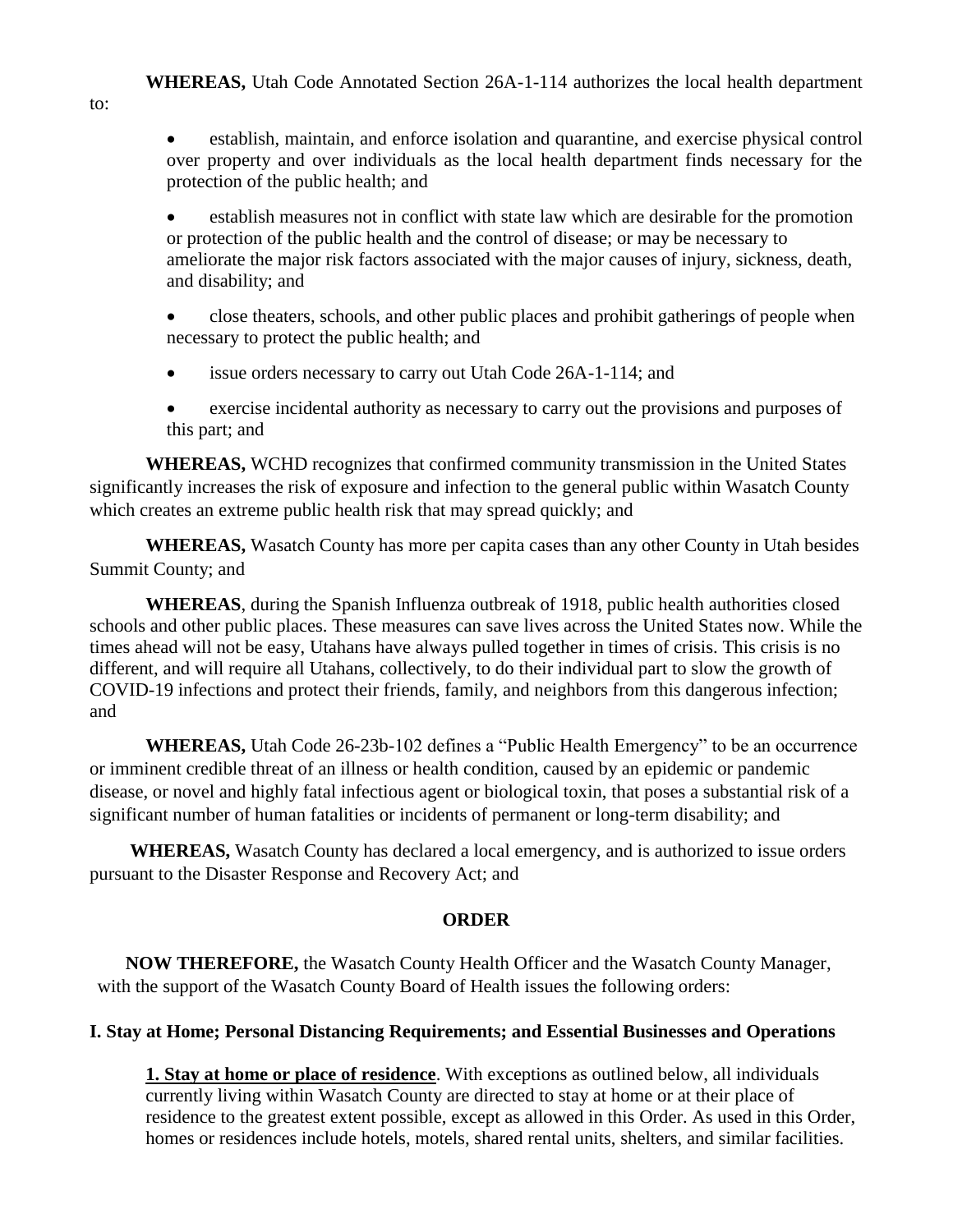establish, maintain, and enforce isolation and quarantine, and exercise physical control over property and over individuals as the local health department finds necessary for the protection of the public health; and

 establish measures not in conflict with state law which are desirable for the promotion or protection of the public health and the control of disease; or may be necessary to ameliorate the major risk factors associated with the major causes of injury, sickness, death, and disability; and

 close theaters, schools, and other public places and prohibit gatherings of people when necessary to protect the public health; and

- issue orders necessary to carry out Utah Code 26A-1-114; and
- exercise incidental authority as necessary to carry out the provisions and purposes of this part; and

**WHEREAS,** WCHD recognizes that confirmed community transmission in the United States significantly increases the risk of exposure and infection to the general public within Wasatch County which creates an extreme public health risk that may spread quickly; and

**WHEREAS,** Wasatch County has more per capita cases than any other County in Utah besides Summit County; and

**WHEREAS**, during the Spanish Influenza outbreak of 1918, public health authorities closed schools and other public places. These measures can save lives across the United States now. While the times ahead will not be easy, Utahans have always pulled together in times of crisis. This crisis is no different, and will require all Utahans, collectively, to do their individual part to slow the growth of COVID-19 infections and protect their friends, family, and neighbors from this dangerous infection; and

**WHEREAS,** Utah Code 26-23b-102 defines a "Public Health Emergency" to be an occurrence or imminent credible threat of an illness or health condition, caused by an epidemic or pandemic disease, or novel and highly fatal infectious agent or biological toxin, that poses a substantial risk of a significant number of human fatalities or incidents of permanent or long-term disability; and

**WHEREAS,** Wasatch County has declared a local emergency, and is authorized to issue orders pursuant to the Disaster Response and Recovery Act; and

#### **ORDER**

**NOW THEREFORE,** the Wasatch County Health Officer and the Wasatch County Manager, with the support of the Wasatch County Board of Health issues the following orders:

# **I. Stay at Home; Personal Distancing Requirements; and Essential Businesses and Operations**

**1. Stay at home or place of residence**. With exceptions as outlined below, all individuals currently living within Wasatch County are directed to stay at home or at their place of residence to the greatest extent possible, except as allowed in this Order. As used in this Order, homes or residences include hotels, motels, shared rental units, shelters, and similar facilities.

to: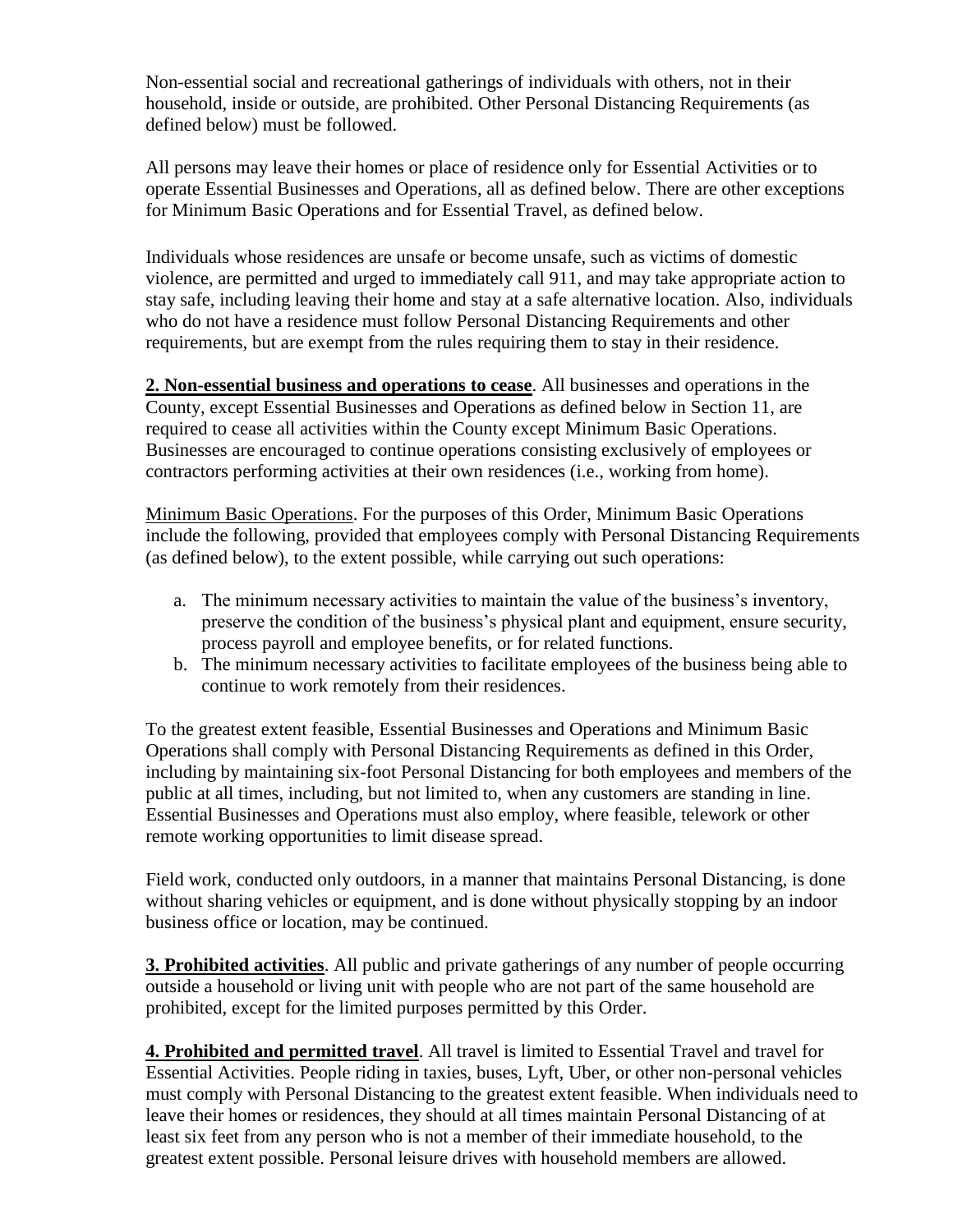Non-essential social and recreational gatherings of individuals with others, not in their household, inside or outside, are prohibited. Other Personal Distancing Requirements (as defined below) must be followed.

All persons may leave their homes or place of residence only for Essential Activities or to operate Essential Businesses and Operations, all as defined below. There are other exceptions for Minimum Basic Operations and for Essential Travel, as defined below.

Individuals whose residences are unsafe or become unsafe, such as victims of domestic violence, are permitted and urged to immediately call 911, and may take appropriate action to stay safe, including leaving their home and stay at a safe alternative location. Also, individuals who do not have a residence must follow Personal Distancing Requirements and other requirements, but are exempt from the rules requiring them to stay in their residence.

**2. Non-essential business and operations to cease**. All businesses and operations in the County, except Essential Businesses and Operations as defined below in Section 11, are required to cease all activities within the County except Minimum Basic Operations. Businesses are encouraged to continue operations consisting exclusively of employees or contractors performing activities at their own residences (i.e., working from home).

Minimum Basic Operations. For the purposes of this Order, Minimum Basic Operations include the following, provided that employees comply with Personal Distancing Requirements (as defined below), to the extent possible, while carrying out such operations:

- a. The minimum necessary activities to maintain the value of the business's inventory, preserve the condition of the business's physical plant and equipment, ensure security, process payroll and employee benefits, or for related functions.
- b. The minimum necessary activities to facilitate employees of the business being able to continue to work remotely from their residences.

To the greatest extent feasible, Essential Businesses and Operations and Minimum Basic Operations shall comply with Personal Distancing Requirements as defined in this Order, including by maintaining six-foot Personal Distancing for both employees and members of the public at all times, including, but not limited to, when any customers are standing in line. Essential Businesses and Operations must also employ, where feasible, telework or other remote working opportunities to limit disease spread.

Field work, conducted only outdoors, in a manner that maintains Personal Distancing, is done without sharing vehicles or equipment, and is done without physically stopping by an indoor business office or location, may be continued.

**3. Prohibited activities**. All public and private gatherings of any number of people occurring outside a household or living unit with people who are not part of the same household are prohibited, except for the limited purposes permitted by this Order.

**4. Prohibited and permitted travel**. All travel is limited to Essential Travel and travel for Essential Activities. People riding in taxies, buses, Lyft, Uber, or other non-personal vehicles must comply with Personal Distancing to the greatest extent feasible. When individuals need to leave their homes or residences, they should at all times maintain Personal Distancing of at least six feet from any person who is not a member of their immediate household, to the greatest extent possible. Personal leisure drives with household members are allowed.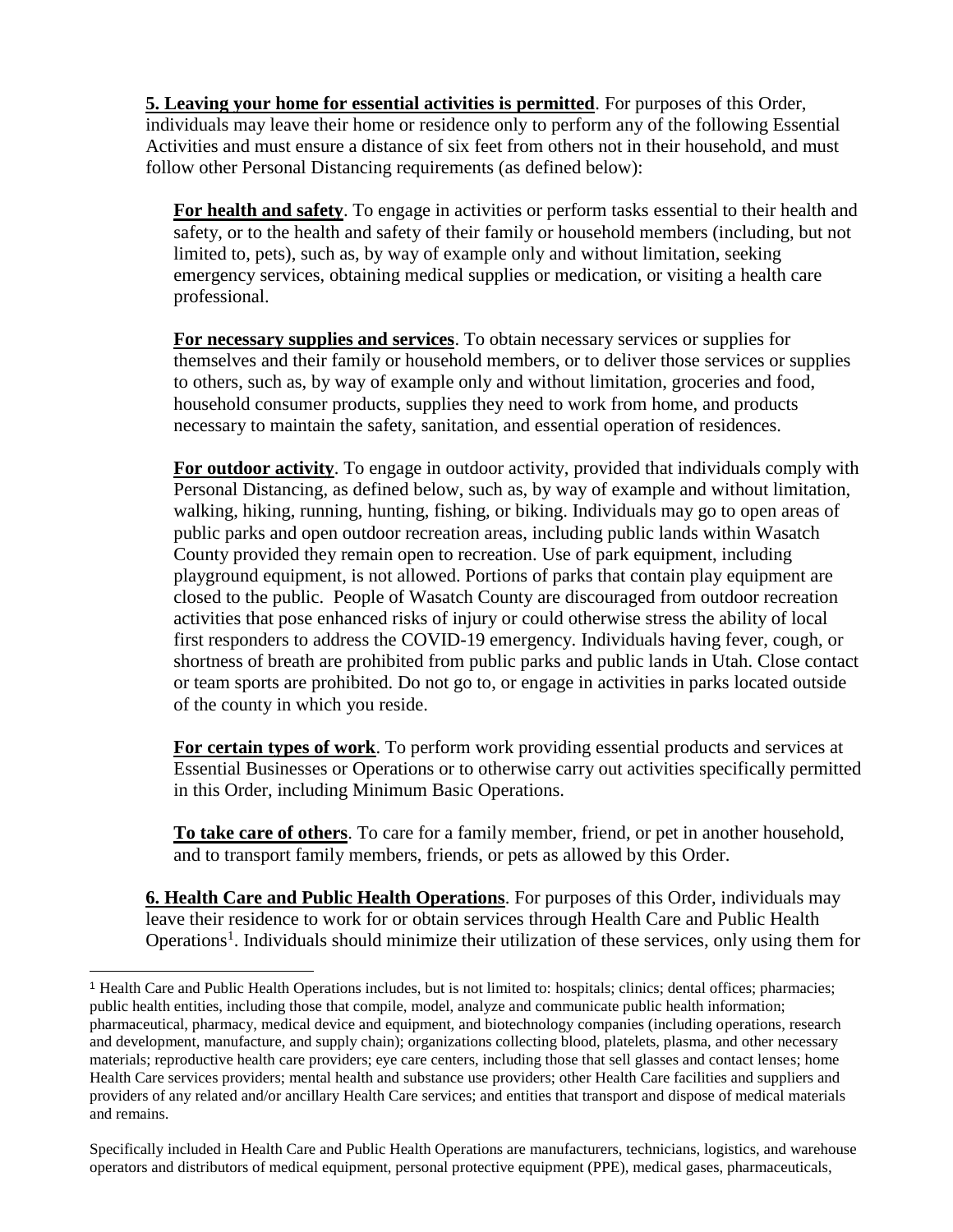**5. Leaving your home for essential activities is permitted**. For purposes of this Order, individuals may leave their home or residence only to perform any of the following Essential Activities and must ensure a distance of six feet from others not in their household, and must follow other Personal Distancing requirements (as defined below):

**For health and safety**. To engage in activities or perform tasks essential to their health and safety, or to the health and safety of their family or household members (including, but not limited to, pets), such as, by way of example only and without limitation, seeking emergency services, obtaining medical supplies or medication, or visiting a health care professional.

**For necessary supplies and services**. To obtain necessary services or supplies for themselves and their family or household members, or to deliver those services or supplies to others, such as, by way of example only and without limitation, groceries and food, household consumer products, supplies they need to work from home, and products necessary to maintain the safety, sanitation, and essential operation of residences.

**For outdoor activity**. To engage in outdoor activity, provided that individuals comply with Personal Distancing, as defined below, such as, by way of example and without limitation, walking, hiking, running, hunting, fishing, or biking. Individuals may go to open areas of public parks and open outdoor recreation areas, including public lands within Wasatch County provided they remain open to recreation. Use of park equipment, including playground equipment, is not allowed. Portions of parks that contain play equipment are closed to the public. People of Wasatch County are discouraged from outdoor recreation activities that pose enhanced risks of injury or could otherwise stress the ability of local first responders to address the COVID-19 emergency. Individuals having fever, cough, or shortness of breath are prohibited from public parks and public lands in Utah. Close contact or team sports are prohibited. Do not go to, or engage in activities in parks located outside of the county in which you reside.

**For certain types of work**. To perform work providing essential products and services at Essential Businesses or Operations or to otherwise carry out activities specifically permitted in this Order, including Minimum Basic Operations.

**To take care of others**. To care for a family member, friend, or pet in another household, and to transport family members, friends, or pets as allowed by this Order.

**6. Health Care and Public Health Operations**. For purposes of this Order, individuals may leave their residence to work for or obtain services through Health Care and Public Health Operations<sup>1</sup>. Individuals should minimize their utilization of these services, only using them for

<sup>1</sup> Health Care and Public Health Operations includes, but is not limited to: hospitals; clinics; dental offices; pharmacies; public health entities, including those that compile, model, analyze and communicate public health information; pharmaceutical, pharmacy, medical device and equipment, and biotechnology companies (including operations, research and development, manufacture, and supply chain); organizations collecting blood, platelets, plasma, and other necessary materials; reproductive health care providers; eye care centers, including those that sell glasses and contact lenses; home Health Care services providers; mental health and substance use providers; other Health Care facilities and suppliers and providers of any related and/or ancillary Health Care services; and entities that transport and dispose of medical materials and remains.

Specifically included in Health Care and Public Health Operations are manufacturers, technicians, logistics, and warehouse operators and distributors of medical equipment, personal protective equipment (PPE), medical gases, pharmaceuticals,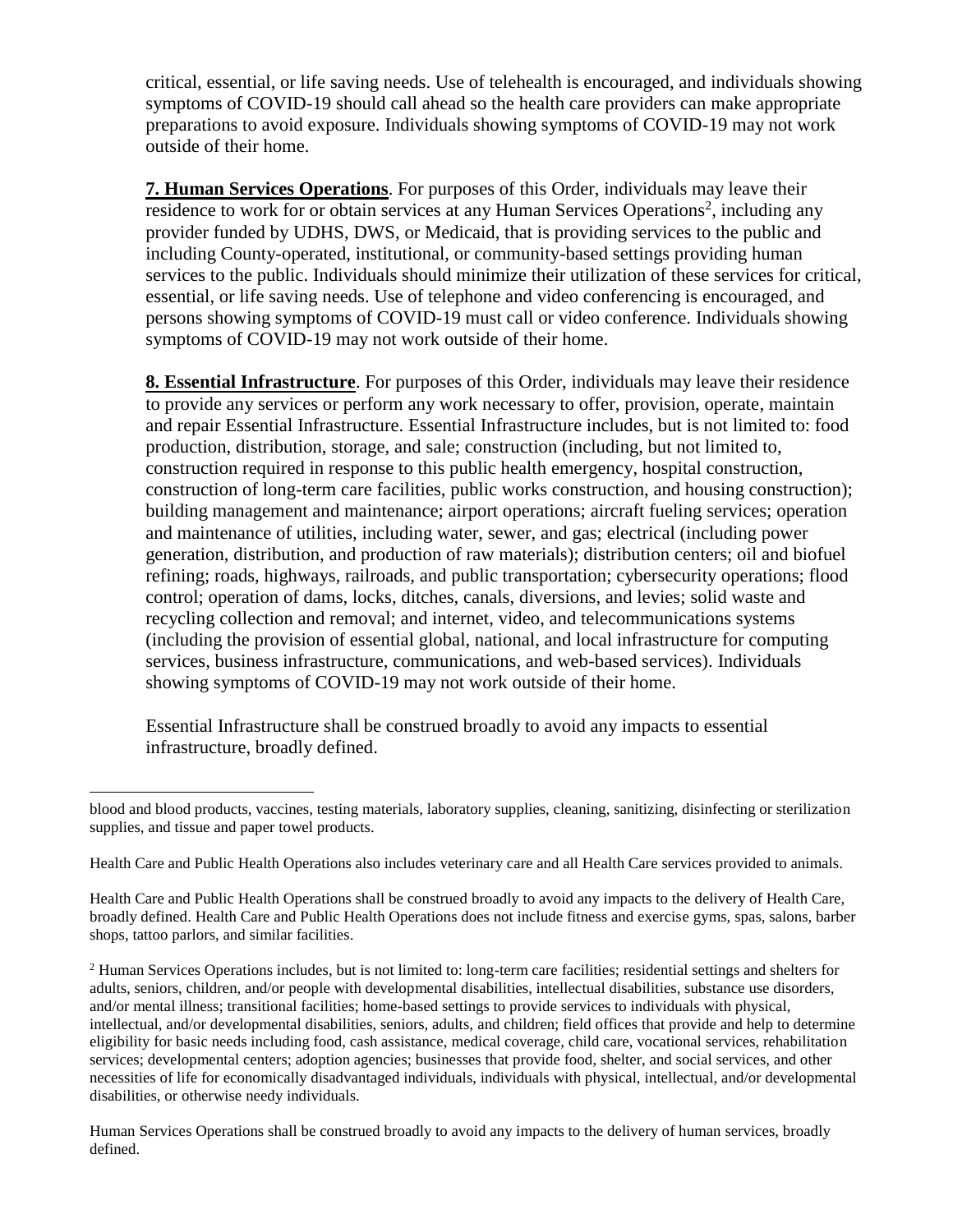critical, essential, or life saving needs. Use of telehealth is encouraged, and individuals showing symptoms of COVID-19 should call ahead so the health care providers can make appropriate preparations to avoid exposure. Individuals showing symptoms of COVID-19 may not work outside of their home.

**7. Human Services Operations**. For purposes of this Order, individuals may leave their residence to work for or obtain services at any Human Services Operations<sup>2</sup>, including any provider funded by UDHS, DWS, or Medicaid, that is providing services to the public and including County-operated, institutional, or community-based settings providing human services to the public. Individuals should minimize their utilization of these services for critical, essential, or life saving needs. Use of telephone and video conferencing is encouraged, and persons showing symptoms of COVID-19 must call or video conference. Individuals showing symptoms of COVID-19 may not work outside of their home.

**8. Essential Infrastructure**. For purposes of this Order, individuals may leave their residence to provide any services or perform any work necessary to offer, provision, operate, maintain and repair Essential Infrastructure. Essential Infrastructure includes, but is not limited to: food production, distribution, storage, and sale; construction (including, but not limited to, construction required in response to this public health emergency, hospital construction, construction of long-term care facilities, public works construction, and housing construction); building management and maintenance; airport operations; aircraft fueling services; operation and maintenance of utilities, including water, sewer, and gas; electrical (including power generation, distribution, and production of raw materials); distribution centers; oil and biofuel refining; roads, highways, railroads, and public transportation; cybersecurity operations; flood control; operation of dams, locks, ditches, canals, diversions, and levies; solid waste and recycling collection and removal; and internet, video, and telecommunications systems (including the provision of essential global, national, and local infrastructure for computing services, business infrastructure, communications, and web-based services). Individuals showing symptoms of COVID-19 may not work outside of their home.

Essential Infrastructure shall be construed broadly to avoid any impacts to essential infrastructure, broadly defined.

 blood and blood products, vaccines, testing materials, laboratory supplies, cleaning, sanitizing, disinfecting or sterilization supplies, and tissue and paper towel products.

Health Care and Public Health Operations also includes veterinary care and all Health Care services provided to animals.

Health Care and Public Health Operations shall be construed broadly to avoid any impacts to the delivery of Health Care, broadly defined. Health Care and Public Health Operations does not include fitness and exercise gyms, spas, salons, barber shops, tattoo parlors, and similar facilities.

<sup>&</sup>lt;sup>2</sup> Human Services Operations includes, but is not limited to: long-term care facilities; residential settings and shelters for adults, seniors, children, and/or people with developmental disabilities, intellectual disabilities, substance use disorders, and/or mental illness; transitional facilities; home-based settings to provide services to individuals with physical, intellectual, and/or developmental disabilities, seniors, adults, and children; field offices that provide and help to determine eligibility for basic needs including food, cash assistance, medical coverage, child care, vocational services, rehabilitation services; developmental centers; adoption agencies; businesses that provide food, shelter, and social services, and other necessities of life for economically disadvantaged individuals, individuals with physical, intellectual, and/or developmental disabilities, or otherwise needy individuals.

Human Services Operations shall be construed broadly to avoid any impacts to the delivery of human services, broadly defined.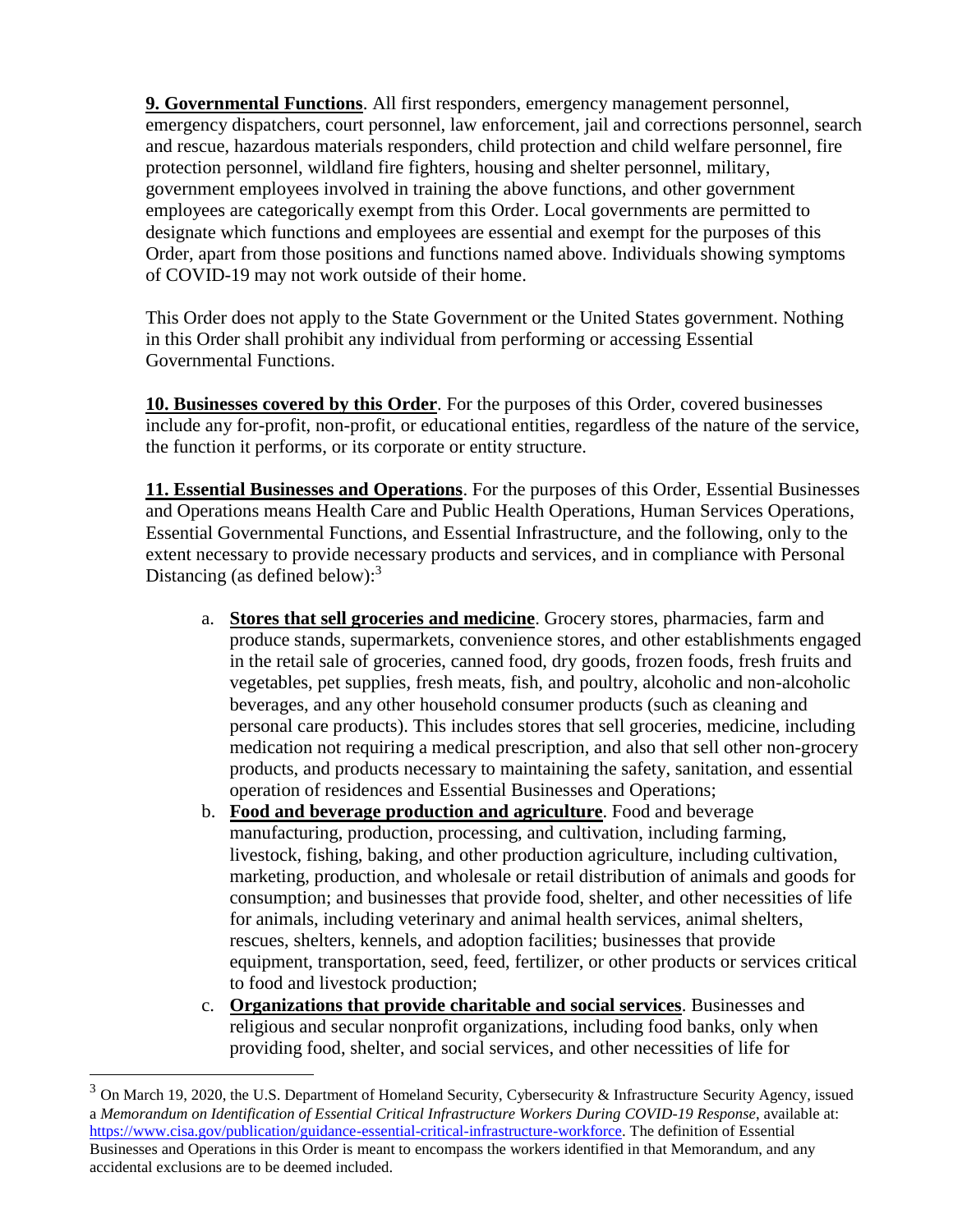**9. Governmental Functions**. All first responders, emergency management personnel, emergency dispatchers, court personnel, law enforcement, jail and corrections personnel, search and rescue, hazardous materials responders, child protection and child welfare personnel, fire protection personnel, wildland fire fighters, housing and shelter personnel, military, government employees involved in training the above functions, and other government employees are categorically exempt from this Order. Local governments are permitted to designate which functions and employees are essential and exempt for the purposes of this Order, apart from those positions and functions named above. Individuals showing symptoms of COVID-19 may not work outside of their home.

This Order does not apply to the State Government or the United States government. Nothing in this Order shall prohibit any individual from performing or accessing Essential Governmental Functions.

**10. Businesses covered by this Order**. For the purposes of this Order, covered businesses include any for-profit, non-profit, or educational entities, regardless of the nature of the service, the function it performs, or its corporate or entity structure.

**11. Essential Businesses and Operations**. For the purposes of this Order, Essential Businesses and Operations means Health Care and Public Health Operations, Human Services Operations, Essential Governmental Functions, and Essential Infrastructure, and the following, only to the extent necessary to provide necessary products and services, and in compliance with Personal Distancing (as defined below):<sup>3</sup>

- a. **Stores that sell groceries and medicine**. Grocery stores, pharmacies, farm and produce stands, supermarkets, convenience stores, and other establishments engaged in the retail sale of groceries, canned food, dry goods, frozen foods, fresh fruits and vegetables, pet supplies, fresh meats, fish, and poultry, alcoholic and non-alcoholic beverages, and any other household consumer products (such as cleaning and personal care products). This includes stores that sell groceries, medicine, including medication not requiring a medical prescription, and also that sell other non-grocery products, and products necessary to maintaining the safety, sanitation, and essential operation of residences and Essential Businesses and Operations;
- b. **Food and beverage production and agriculture**. Food and beverage manufacturing, production, processing, and cultivation, including farming, livestock, fishing, baking, and other production agriculture, including cultivation, marketing, production, and wholesale or retail distribution of animals and goods for consumption; and businesses that provide food, shelter, and other necessities of life for animals, including veterinary and animal health services, animal shelters, rescues, shelters, kennels, and adoption facilities; businesses that provide equipment, transportation, seed, feed, fertilizer, or other products or services critical to food and livestock production;
- c. **Organizations that provide charitable and social services**. Businesses and religious and secular nonprofit organizations, including food banks, only when providing food, shelter, and social services, and other necessities of life for

<sup>&</sup>lt;sup>3</sup> On March 19, 2020, the U.S. Department of Homeland Security, Cybersecurity & Infrastructure Security Agency, issued a *Memorandum on Identification of Essential Critical Infrastructure Workers During COVID-19 Response*, available at: [https://www.cisa.gov/publication/guidance-essential-critical-infrastructure-workforce.](https://www.cisa.gov/publication/guidance-essential-critical-infrastructure-workforce) The definition of Essential Businesses and Operations in this Order is meant to encompass the workers identified in that Memorandum, and any accidental exclusions are to be deemed included.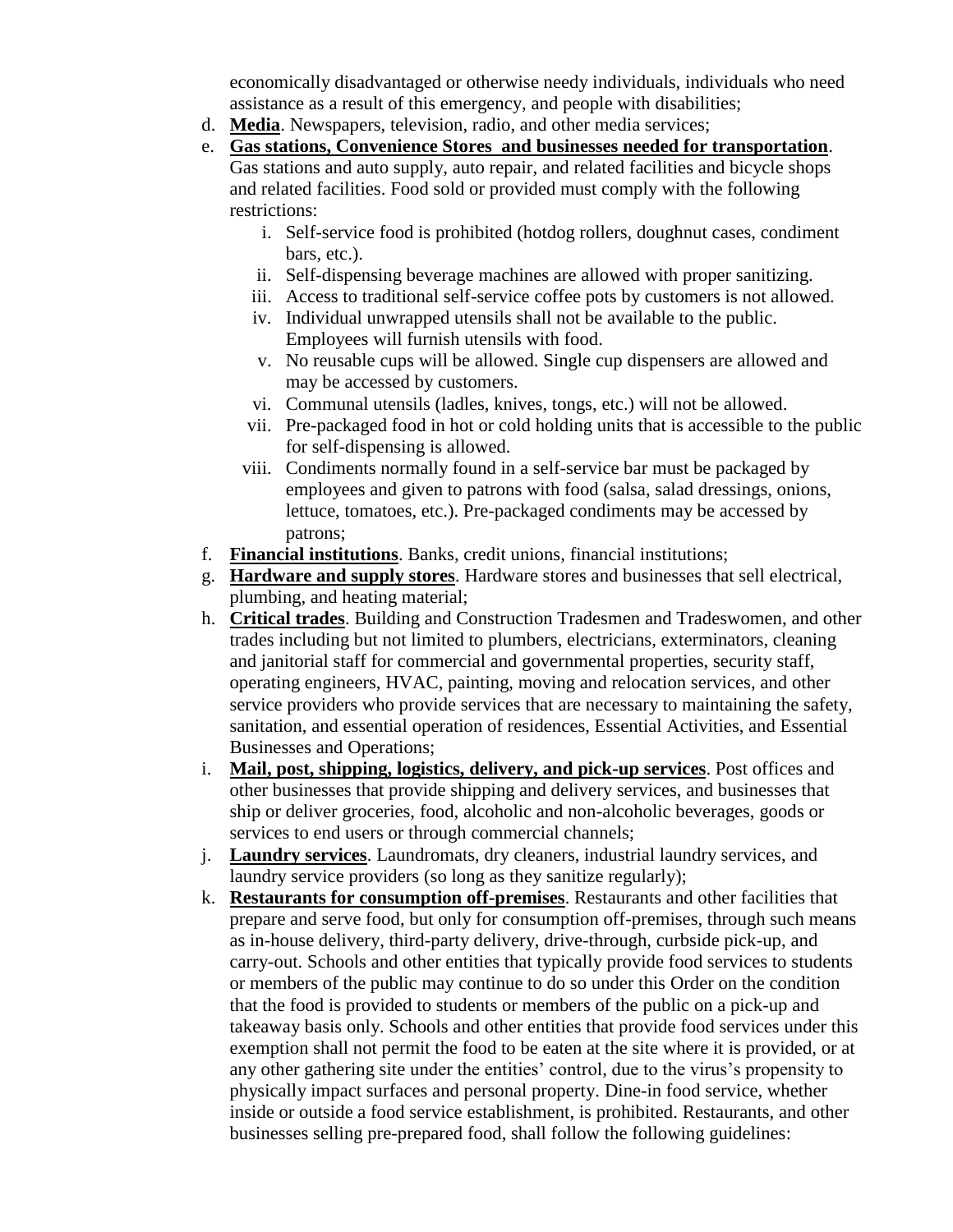economically disadvantaged or otherwise needy individuals, individuals who need assistance as a result of this emergency, and people with disabilities;

- d. **Media**. Newspapers, television, radio, and other media services;
- e. **Gas stations, Convenience Stores and businesses needed for transportation**. Gas stations and auto supply, auto repair, and related facilities and bicycle shops and related facilities. Food sold or provided must comply with the following restrictions:
	- i. Self-service food is prohibited (hotdog rollers, doughnut cases, condiment bars, etc.).
	- ii. Self-dispensing beverage machines are allowed with proper sanitizing.
	- iii. Access to traditional self-service coffee pots by customers is not allowed.
	- iv. Individual unwrapped utensils shall not be available to the public. Employees will furnish utensils with food.
	- v. No reusable cups will be allowed. Single cup dispensers are allowed and may be accessed by customers.
	- vi. Communal utensils (ladles, knives, tongs, etc.) will not be allowed.
	- vii. Pre-packaged food in hot or cold holding units that is accessible to the public for self-dispensing is allowed.
	- viii. Condiments normally found in a self-service bar must be packaged by employees and given to patrons with food (salsa, salad dressings, onions, lettuce, tomatoes, etc.). Pre-packaged condiments may be accessed by patrons;
- f. **Financial institutions**. Banks, credit unions, financial institutions;
- g. **Hardware and supply stores**. Hardware stores and businesses that sell electrical, plumbing, and heating material;
- h. **Critical trades**. Building and Construction Tradesmen and Tradeswomen, and other trades including but not limited to plumbers, electricians, exterminators, cleaning and janitorial staff for commercial and governmental properties, security staff, operating engineers, HVAC, painting, moving and relocation services, and other service providers who provide services that are necessary to maintaining the safety, sanitation, and essential operation of residences, Essential Activities, and Essential Businesses and Operations;
- i. **Mail, post, shipping, logistics, delivery, and pick-up services**. Post offices and other businesses that provide shipping and delivery services, and businesses that ship or deliver groceries, food, alcoholic and non-alcoholic beverages, goods or services to end users or through commercial channels;
- j. **Laundry services**. Laundromats, dry cleaners, industrial laundry services, and laundry service providers (so long as they sanitize regularly);
- k. **Restaurants for consumption off-premises**. Restaurants and other facilities that prepare and serve food, but only for consumption off-premises, through such means as in-house delivery, third-party delivery, drive-through, curbside pick-up, and carry-out. Schools and other entities that typically provide food services to students or members of the public may continue to do so under this Order on the condition that the food is provided to students or members of the public on a pick-up and takeaway basis only. Schools and other entities that provide food services under this exemption shall not permit the food to be eaten at the site where it is provided, or at any other gathering site under the entities' control, due to the virus's propensity to physically impact surfaces and personal property. Dine-in food service, whether inside or outside a food service establishment, is prohibited. Restaurants, and other businesses selling pre-prepared food, shall follow the following guidelines: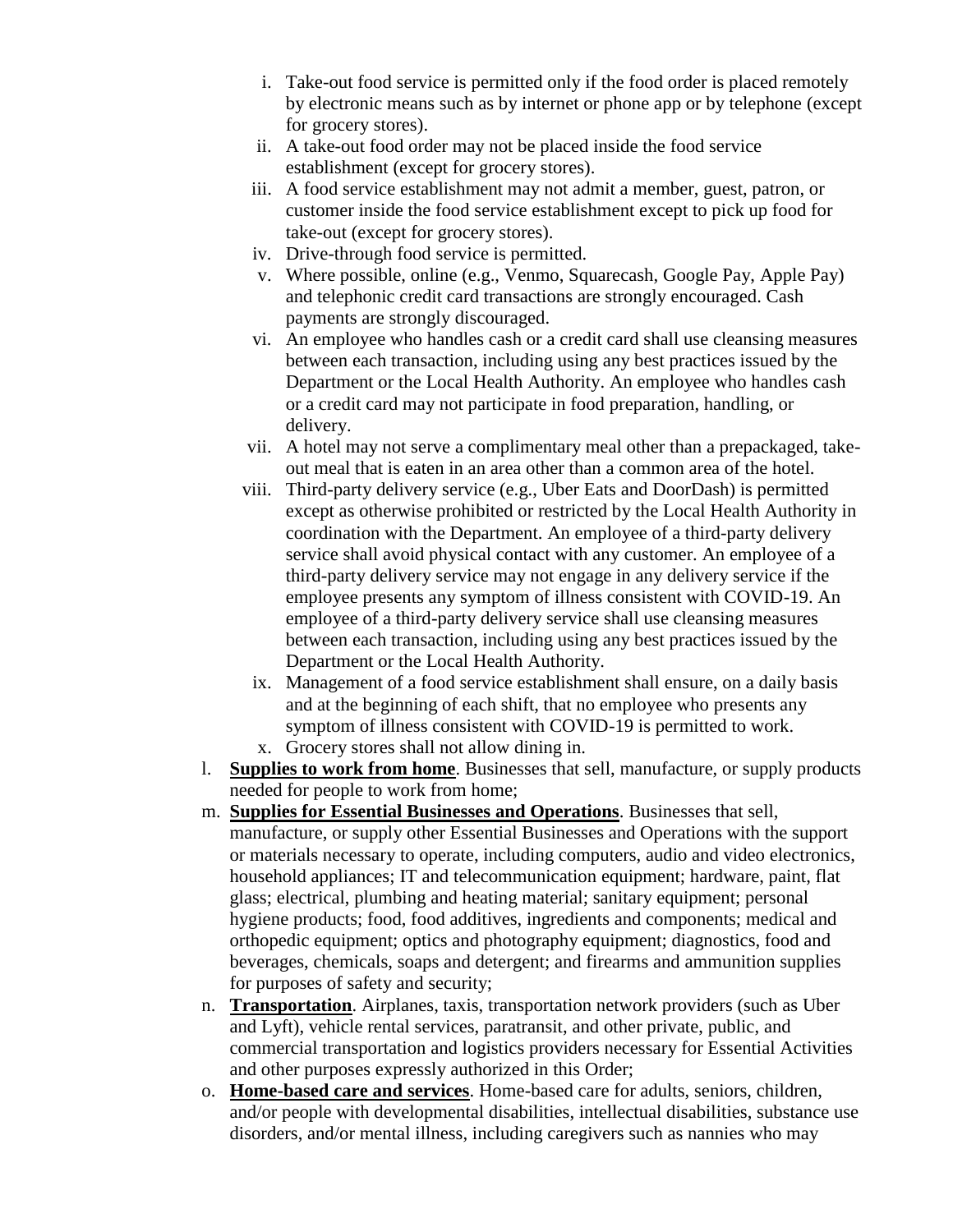- i. Take-out food service is permitted only if the food order is placed remotely by electronic means such as by internet or phone app or by telephone (except for grocery stores).
- ii. A take-out food order may not be placed inside the food service establishment (except for grocery stores).
- iii. A food service establishment may not admit a member, guest, patron, or customer inside the food service establishment except to pick up food for take-out (except for grocery stores).
- iv. Drive-through food service is permitted.
- v. Where possible, online (e.g., Venmo, Squarecash, Google Pay, Apple Pay) and telephonic credit card transactions are strongly encouraged. Cash payments are strongly discouraged.
- vi. An employee who handles cash or a credit card shall use cleansing measures between each transaction, including using any best practices issued by the Department or the Local Health Authority. An employee who handles cash or a credit card may not participate in food preparation, handling, or delivery.
- vii. A hotel may not serve a complimentary meal other than a prepackaged, takeout meal that is eaten in an area other than a common area of the hotel.
- viii. Third-party delivery service (e.g., Uber Eats and DoorDash) is permitted except as otherwise prohibited or restricted by the Local Health Authority in coordination with the Department. An employee of a third-party delivery service shall avoid physical contact with any customer. An employee of a third-party delivery service may not engage in any delivery service if the employee presents any symptom of illness consistent with COVID-19. An employee of a third-party delivery service shall use cleansing measures between each transaction, including using any best practices issued by the Department or the Local Health Authority.
- ix. Management of a food service establishment shall ensure, on a daily basis and at the beginning of each shift, that no employee who presents any symptom of illness consistent with COVID-19 is permitted to work. x. Grocery stores shall not allow dining in.
- l. **Supplies to work from home**. Businesses that sell, manufacture, or supply products needed for people to work from home;
- m. **Supplies for Essential Businesses and Operations**. Businesses that sell, manufacture, or supply other Essential Businesses and Operations with the support or materials necessary to operate, including computers, audio and video electronics, household appliances; IT and telecommunication equipment; hardware, paint, flat glass; electrical, plumbing and heating material; sanitary equipment; personal hygiene products; food, food additives, ingredients and components; medical and orthopedic equipment; optics and photography equipment; diagnostics, food and beverages, chemicals, soaps and detergent; and firearms and ammunition supplies for purposes of safety and security;
- n. **Transportation**. Airplanes, taxis, transportation network providers (such as Uber and Lyft), vehicle rental services, paratransit, and other private, public, and commercial transportation and logistics providers necessary for Essential Activities and other purposes expressly authorized in this Order;
- o. **Home-based care and services**. Home-based care for adults, seniors, children, and/or people with developmental disabilities, intellectual disabilities, substance use disorders, and/or mental illness, including caregivers such as nannies who may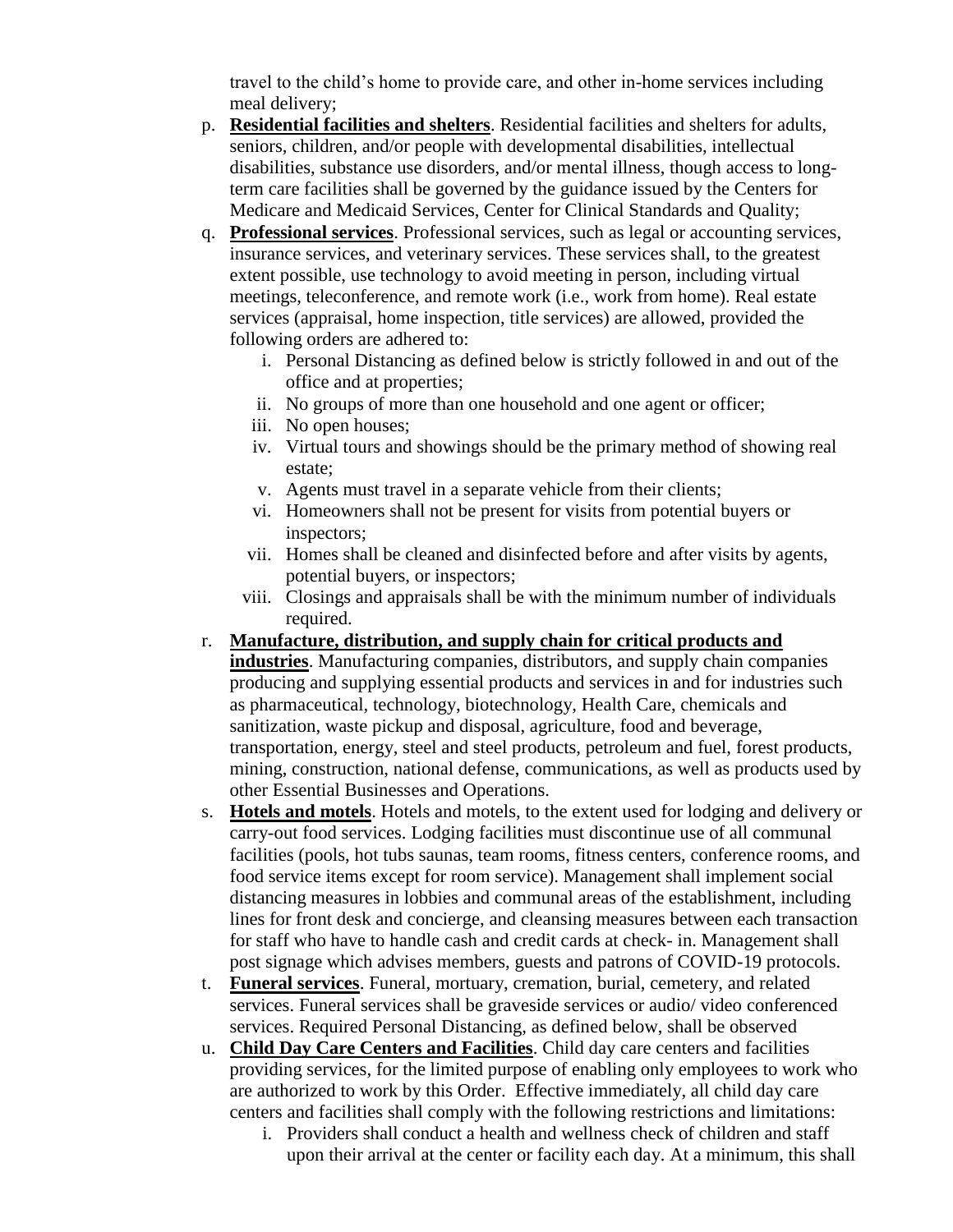travel to the child's home to provide care, and other in-home services including meal delivery;

- p. **Residential facilities and shelters**. Residential facilities and shelters for adults, seniors, children, and/or people with developmental disabilities, intellectual disabilities, substance use disorders, and/or mental illness, though access to longterm care facilities shall be governed by the guidance issued by the Centers for Medicare and Medicaid Services, Center for Clinical Standards and Quality;
- q. **Professional services**. Professional services, such as legal or accounting services, insurance services, and veterinary services. These services shall, to the greatest extent possible, use technology to avoid meeting in person, including virtual meetings, teleconference, and remote work (i.e., work from home). Real estate services (appraisal, home inspection, title services) are allowed, provided the following orders are adhered to:
	- i. Personal Distancing as defined below is strictly followed in and out of the office and at properties;
	- ii. No groups of more than one household and one agent or officer;
	- iii. No open houses;
	- iv. Virtual tours and showings should be the primary method of showing real estate;
	- v. Agents must travel in a separate vehicle from their clients;
	- vi. Homeowners shall not be present for visits from potential buyers or inspectors;
	- vii. Homes shall be cleaned and disinfected before and after visits by agents, potential buyers, or inspectors;
	- viii. Closings and appraisals shall be with the minimum number of individuals required.
- r. **Manufacture, distribution, and supply chain for critical products and industries**. Manufacturing companies, distributors, and supply chain companies producing and supplying essential products and services in and for industries such as pharmaceutical, technology, biotechnology, Health Care, chemicals and sanitization, waste pickup and disposal, agriculture, food and beverage, transportation, energy, steel and steel products, petroleum and fuel, forest products, mining, construction, national defense, communications, as well as products used by other Essential Businesses and Operations.
- s. **Hotels and motels**. Hotels and motels, to the extent used for lodging and delivery or carry-out food services. Lodging facilities must discontinue use of all communal facilities (pools, hot tubs saunas, team rooms, fitness centers, conference rooms, and food service items except for room service). Management shall implement social distancing measures in lobbies and communal areas of the establishment, including lines for front desk and concierge, and cleansing measures between each transaction for staff who have to handle cash and credit cards at check- in. Management shall post signage which advises members, guests and patrons of COVID-19 protocols.
- t. **Funeral services**. Funeral, mortuary, cremation, burial, cemetery, and related services. Funeral services shall be graveside services or audio/ video conferenced services. Required Personal Distancing, as defined below, shall be observed
- u. **Child Day Care Centers and Facilities**. Child day care centers and facilities providing services, for the limited purpose of enabling only employees to work who are authorized to work by this Order. Effective immediately, all child day care centers and facilities shall comply with the following restrictions and limitations:
	- i. Providers shall conduct a health and wellness check of children and staff upon their arrival at the center or facility each day. At a minimum, this shall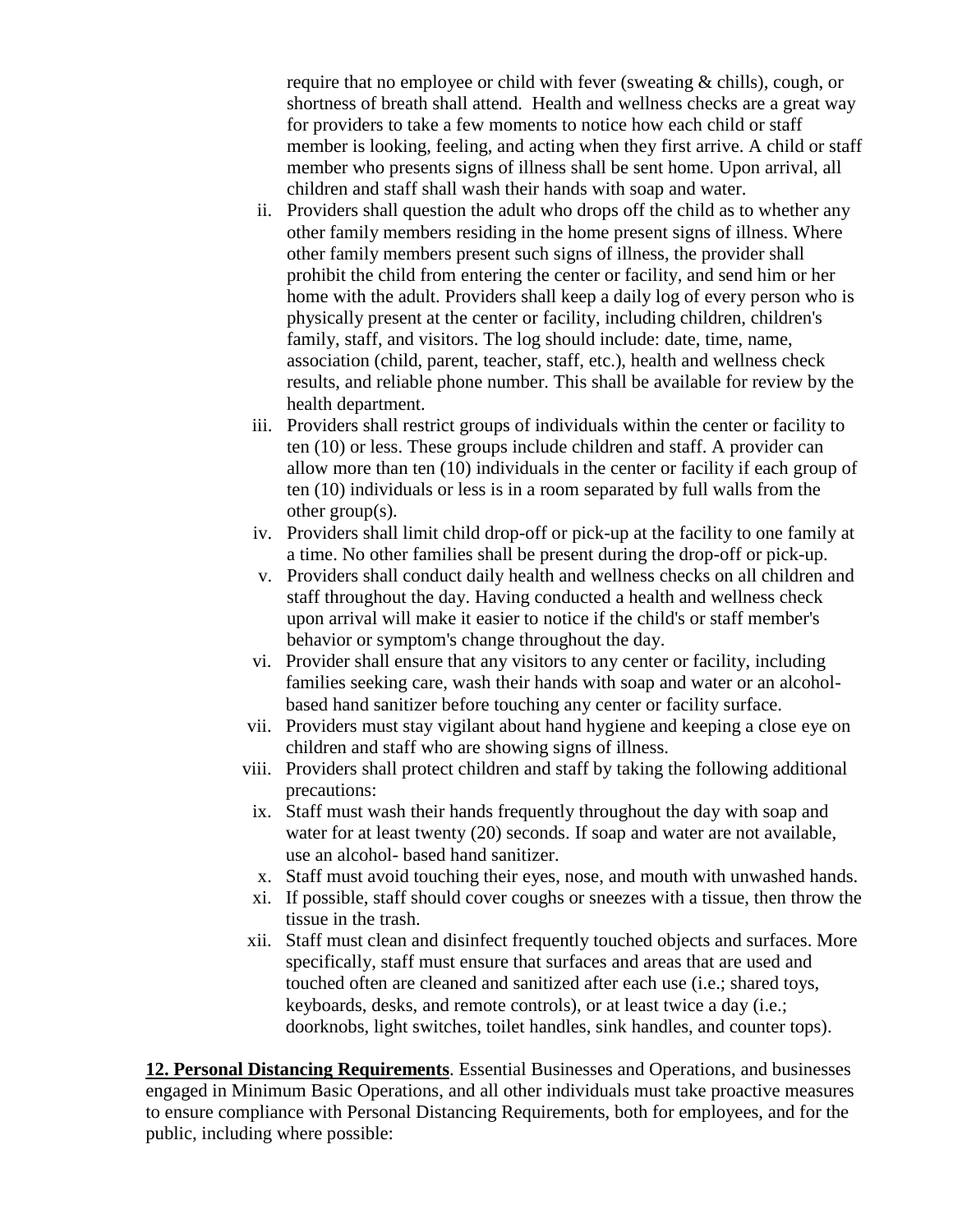require that no employee or child with fever (sweating & chills), cough, or shortness of breath shall attend. Health and wellness checks are a great way for providers to take a few moments to notice how each child or staff member is looking, feeling, and acting when they first arrive. A child or staff member who presents signs of illness shall be sent home. Upon arrival, all children and staff shall wash their hands with soap and water.

- ii. Providers shall question the adult who drops off the child as to whether any other family members residing in the home present signs of illness. Where other family members present such signs of illness, the provider shall prohibit the child from entering the center or facility, and send him or her home with the adult. Providers shall keep a daily log of every person who is physically present at the center or facility, including children, children's family, staff, and visitors. The log should include: date, time, name, association (child, parent, teacher, staff, etc.), health and wellness check results, and reliable phone number. This shall be available for review by the health department.
- iii. Providers shall restrict groups of individuals within the center or facility to ten (10) or less. These groups include children and staff. A provider can allow more than ten (10) individuals in the center or facility if each group of ten (10) individuals or less is in a room separated by full walls from the other group(s).
- iv. Providers shall limit child drop-off or pick-up at the facility to one family at a time. No other families shall be present during the drop-off or pick-up.
- v. Providers shall conduct daily health and wellness checks on all children and staff throughout the day. Having conducted a health and wellness check upon arrival will make it easier to notice if the child's or staff member's behavior or symptom's change throughout the day.
- vi. Provider shall ensure that any visitors to any center or facility, including families seeking care, wash their hands with soap and water or an alcoholbased hand sanitizer before touching any center or facility surface.
- vii. Providers must stay vigilant about hand hygiene and keeping a close eye on children and staff who are showing signs of illness.
- viii. Providers shall protect children and staff by taking the following additional precautions:
- ix. Staff must wash their hands frequently throughout the day with soap and water for at least twenty (20) seconds. If soap and water are not available, use an alcohol- based hand sanitizer.
- x. Staff must avoid touching their eyes, nose, and mouth with unwashed hands.
- xi. If possible, staff should cover coughs or sneezes with a tissue, then throw the tissue in the trash.
- xii. Staff must clean and disinfect frequently touched objects and surfaces. More specifically, staff must ensure that surfaces and areas that are used and touched often are cleaned and sanitized after each use (i.e.; shared toys, keyboards, desks, and remote controls), or at least twice a day (i.e.; doorknobs, light switches, toilet handles, sink handles, and counter tops).

**12. Personal Distancing Requirements**. Essential Businesses and Operations, and businesses engaged in Minimum Basic Operations, and all other individuals must take proactive measures to ensure compliance with Personal Distancing Requirements, both for employees, and for the public, including where possible: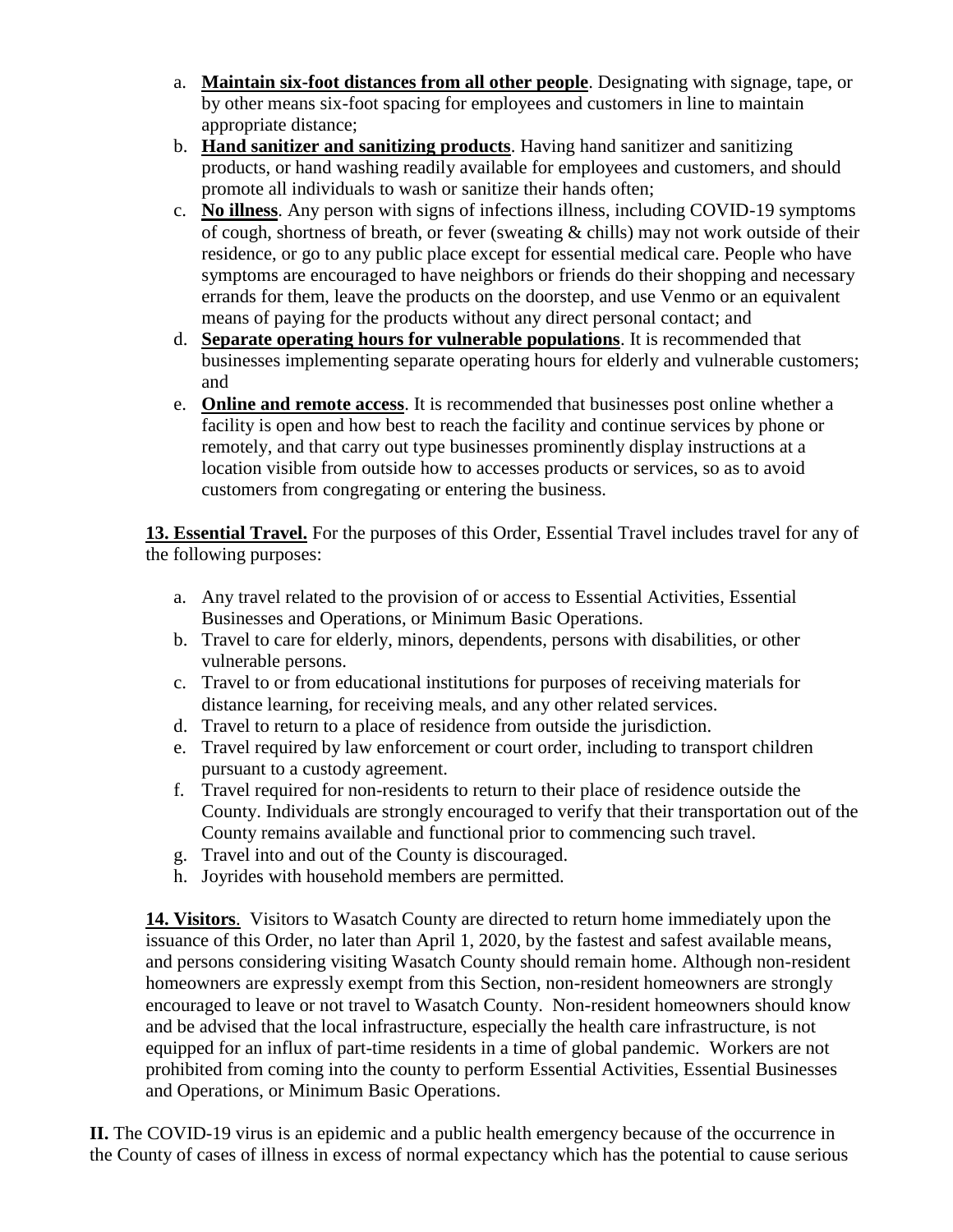- a. **Maintain six-foot distances from all other people**. Designating with signage, tape, or by other means six-foot spacing for employees and customers in line to maintain appropriate distance;
- b. **Hand sanitizer and sanitizing products**. Having hand sanitizer and sanitizing products, or hand washing readily available for employees and customers, and should promote all individuals to wash or sanitize their hands often;
- c. **No illness**. Any person with signs of infections illness, including COVID-19 symptoms of cough, shortness of breath, or fever (sweating & chills) may not work outside of their residence, or go to any public place except for essential medical care. People who have symptoms are encouraged to have neighbors or friends do their shopping and necessary errands for them, leave the products on the doorstep, and use Venmo or an equivalent means of paying for the products without any direct personal contact; and
- d. **Separate operating hours for vulnerable populations**. It is recommended that businesses implementing separate operating hours for elderly and vulnerable customers; and
- e. **Online and remote access**. It is recommended that businesses post online whether a facility is open and how best to reach the facility and continue services by phone or remotely, and that carry out type businesses prominently display instructions at a location visible from outside how to accesses products or services, so as to avoid customers from congregating or entering the business.

**13. Essential Travel.** For the purposes of this Order, Essential Travel includes travel for any of the following purposes:

- a. Any travel related to the provision of or access to Essential Activities, Essential Businesses and Operations, or Minimum Basic Operations.
- b. Travel to care for elderly, minors, dependents, persons with disabilities, or other vulnerable persons.
- c. Travel to or from educational institutions for purposes of receiving materials for distance learning, for receiving meals, and any other related services.
- d. Travel to return to a place of residence from outside the jurisdiction.
- e. Travel required by law enforcement or court order, including to transport children pursuant to a custody agreement.
- f. Travel required for non-residents to return to their place of residence outside the County. Individuals are strongly encouraged to verify that their transportation out of the County remains available and functional prior to commencing such travel.
- g. Travel into and out of the County is discouraged.
- h. Joyrides with household members are permitted.

**14. Visitors**. Visitors to Wasatch County are directed to return home immediately upon the issuance of this Order, no later than April 1, 2020, by the fastest and safest available means, and persons considering visiting Wasatch County should remain home. Although non-resident homeowners are expressly exempt from this Section, non-resident homeowners are strongly encouraged to leave or not travel to Wasatch County. Non-resident homeowners should know and be advised that the local infrastructure, especially the health care infrastructure, is not equipped for an influx of part-time residents in a time of global pandemic. Workers are not prohibited from coming into the county to perform Essential Activities, Essential Businesses and Operations, or Minimum Basic Operations.

**II.** The COVID-19 virus is an epidemic and a public health emergency because of the occurrence in the County of cases of illness in excess of normal expectancy which has the potential to cause serious